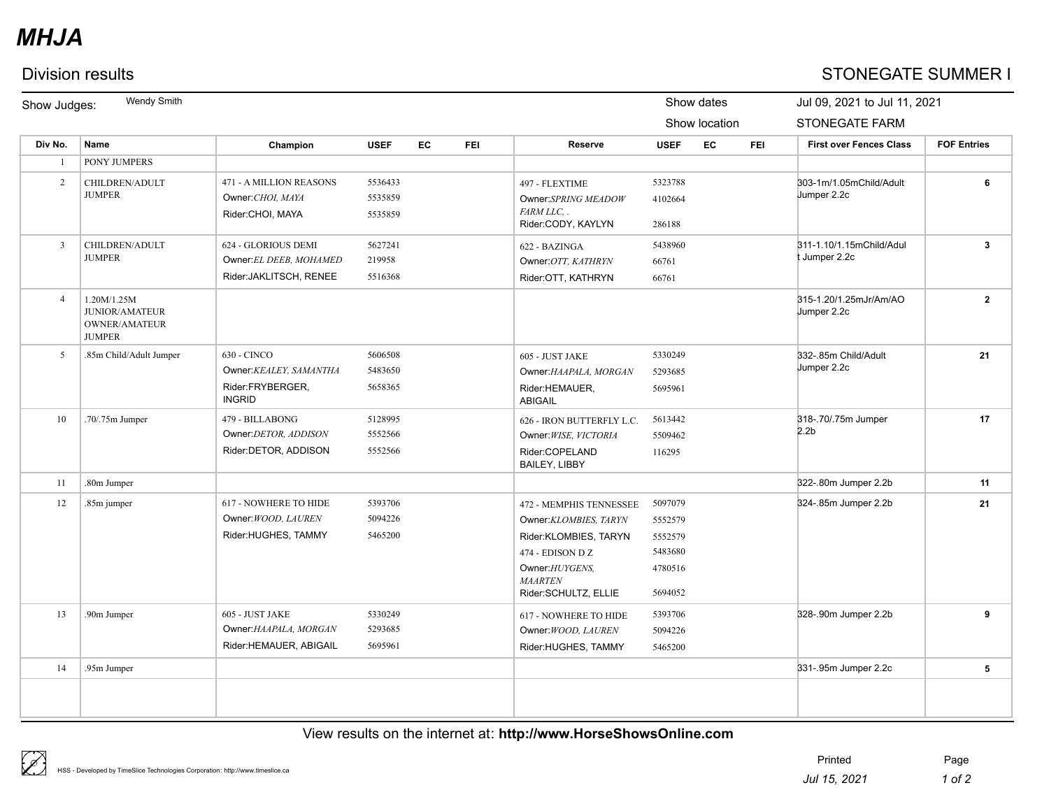# *MHJA*

## Division results STONEGATE SUMMER I

| Show Judges:   | Wendy Smith<br>Show dates                                              |                                                                             |                               |    |            | Jul 09, 2021 to Jul 11, 2021                                                                                                                               |                                                                |    |            |                                                |                    |  |
|----------------|------------------------------------------------------------------------|-----------------------------------------------------------------------------|-------------------------------|----|------------|------------------------------------------------------------------------------------------------------------------------------------------------------------|----------------------------------------------------------------|----|------------|------------------------------------------------|--------------------|--|
|                |                                                                        |                                                                             |                               |    |            |                                                                                                                                                            | Show location                                                  |    |            | <b>STONEGATE FARM</b>                          |                    |  |
| Div No.        | Name                                                                   | Champion                                                                    | <b>USEF</b>                   | EC | <b>FEI</b> | Reserve                                                                                                                                                    | <b>USEF</b>                                                    | EC | <b>FEI</b> | <b>First over Fences Class</b>                 | <b>FOF Entries</b> |  |
| $\overline{1}$ | PONY JUMPERS                                                           |                                                                             |                               |    |            |                                                                                                                                                            |                                                                |    |            |                                                |                    |  |
| 2              | CHILDREN/ADULT<br><b>JUMPER</b>                                        | 471 - A MILLION REASONS<br>Owner: CHOI, MAYA<br>Rider:CHOI, MAYA            | 5536433<br>5535859<br>5535859 |    |            | 497 - FLEXTIME<br>Owner:SPRING MEADOW<br>FARM LLC. .<br>Rider:CODY, KAYLYN                                                                                 | 5323788<br>4102664<br>286188                                   |    |            | 303-1m/1.05mChild/Adult<br>Jumper 2.2c         | 6                  |  |
| $\overline{3}$ | CHILDREN/ADULT<br><b>JUMPER</b>                                        | 624 - GLORIOUS DEMI<br>Owner: EL DEEB, MOHAMED<br>Rider: JAKLITSCH, RENEE   | 5627241<br>219958<br>5516368  |    |            | 622 - BAZINGA<br>Owner: OTT, KATHRYN<br>Rider: OTT, KATHRYN                                                                                                | 5438960<br>66761<br>66761                                      |    |            | 311-1.10/1.15mChild/Adul<br><b>Jumper 2.2c</b> | 3                  |  |
| $\overline{4}$ | 1.20M/1.25M<br><b>JUNIOR/AMATEUR</b><br>OWNER/AMATEUR<br><b>JUMPER</b> |                                                                             |                               |    |            |                                                                                                                                                            |                                                                |    |            | 315-1.20/1.25mJr/Am/AO<br>Jumper 2.2c          | $\mathbf{2}$       |  |
| 5              | .85m Child/Adult Jumper                                                | 630 - CINCO<br>Owner: KEALEY, SAMANTHA<br>Rider:FRYBERGER,<br><b>INGRID</b> | 5606508<br>5483650<br>5658365 |    |            | 605 - JUST JAKE<br>Owner: HAAPALA, MORGAN<br>Rider:HEMAUER,<br><b>ABIGAIL</b>                                                                              | 5330249<br>5293685<br>5695961                                  |    |            | 332-.85m Child/Adult<br>Jumper 2.2c            | 21                 |  |
| 10             | .70/.75m Jumper                                                        | 479 - BILLABONG<br>Owner:DETOR, ADDISON<br>Rider:DETOR, ADDISON             | 5128995<br>5552566<br>5552566 |    |            | 626 - IRON BUTTERFLY L.C.<br>Owner: WISE, VICTORIA<br>Rider:COPELAND<br><b>BAILEY, LIBBY</b>                                                               | 5613442<br>5509462<br>116295                                   |    |            | 318-.70/.75m Jumper<br>2.2 <sub>b</sub>        | 17                 |  |
| 11             | .80m Jumper                                                            |                                                                             |                               |    |            |                                                                                                                                                            |                                                                |    |            | 322-.80m Jumper 2.2b                           | 11                 |  |
| 12             | .85m jumper                                                            | 617 - NOWHERE TO HIDE<br>Owner: WOOD, LAUREN<br>Rider:HUGHES, TAMMY         | 5393706<br>5094226<br>5465200 |    |            | 472 - MEMPHIS TENNESSEE<br>Owner:KLOMBIES, TARYN<br>Rider:KLOMBIES, TARYN<br>474 - EDISON D Z<br>Owner: HUYGENS,<br><b>MAARTEN</b><br>Rider:SCHULTZ, ELLIE | 5097079<br>5552579<br>5552579<br>5483680<br>4780516<br>5694052 |    |            | 324-.85m Jumper 2.2b                           | 21                 |  |
| 13             | .90m Jumper                                                            | 605 - JUST JAKE<br>Owner: HAAPALA, MORGAN<br>Rider:HEMAUER, ABIGAIL         | 5330249<br>5293685<br>5695961 |    |            | 617 - NOWHERE TO HIDE<br>Owner: WOOD, LAUREN<br>Rider:HUGHES, TAMMY                                                                                        | 5393706<br>5094226<br>5465200                                  |    |            | 328-.90m Jumper 2.2b                           | 9                  |  |
| 14             | .95m Jumper                                                            |                                                                             |                               |    |            |                                                                                                                                                            |                                                                |    |            | 331-.95m Jumper 2.2c                           | 5                  |  |
|                |                                                                        |                                                                             |                               |    |            |                                                                                                                                                            |                                                                |    |            |                                                |                    |  |

### View results on the internet at: **http://www.HorseShowsOnline.com**